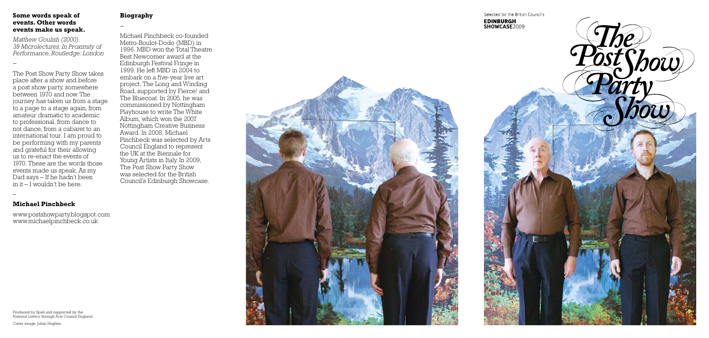#### **Some words speak of events. Other words events make us speak.**

*Matthew Goulish (2000). 39 Microlectures: In Proximity of Performance, Routledge: London*

*–*

The Post Show Party Show takes place after a show and before a post show party, somewhere between 1970 and now. The journey has taken us from a stage to a page to a stage again, from amateur dramatic to academic to professional, from dance to not dance, from a cabaret to an international tour. I am proud to be performing with my parents and grateful for their allowing us to re-enact the events of 1970. These are the words those events made us speak. As my Dad says – If he hadn't been in it – I wouldn't be here.

–

#### **Michael Pinchbeck**

www.postshowparty.blogspot.com www.michaelpinchbeck.co.uk

## **Biography**

*–*

Michael Pinchbeck co-founded Metro-Boulot-Dodo (MBD) in 1996. MBD won the Total Theatre Best Newcomer award at the Edinburgh Festival Fringe in 1999. He left MBD in 2004 to embark on a five-year live art project, The Long and Winding Road, supported by Fierce! and The Bluecoat. In 2005, he was commissioned by Nottingham Playhouse to write The White Album, which won the 2007 Nottingham Creative Business Award. In 2008, Michael Pinchbeck was selected by Arts Council England to represent the UK at the Biennale for Young Artists in Italy. In 2009, The Post Show Party Show was selected for the British Council's Edinburgh Showcase.



Produced by Spiel and supported by the National Lottery through Arts Council England.

Cover image: Julian Hughes.

Selected for the British Council's